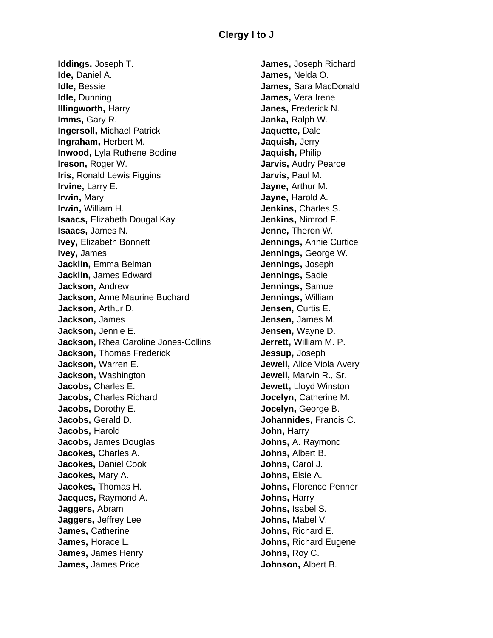**Iddings,** Joseph T. **Ide,** Daniel A. **Idle,** Bessie **Idle,** Dunning **Illingworth,** Harry **Imms,** Gary R. **Ingersoll,** Michael Patrick **Ingraham,** Herbert M. **Inwood,** Lyla Ruthene Bodine **Ireson,** Roger W. **Iris,** Ronald Lewis Figgins **Irvine,** Larry E. **Irwin,** Mary **Irwin,** William H. **Isaacs,** Elizabeth Dougal Kay **Isaacs,** James N. **Ivey,** Elizabeth Bonnett **Ivey,** James **Jacklin,** Emma Belman **Jacklin,** James Edward **Jackson,** Andrew **Jackson,** Anne Maurine Buchard **Jackson,** Arthur D. **Jackson,** James **Jackson,** Jennie E. **Jackson,** Rhea Caroline Jones-Collins **Jackson,** Thomas Frederick **Jackson,** Warren E. **Jackson,** Washington **Jacobs,** Charles E. **Jacobs,** Charles Richard **Jacobs,** Dorothy E. **Jacobs,** Gerald D. **Jacobs,** Harold **Jacobs,** James Douglas **Jacokes,** Charles A. **Jacokes,** Daniel Cook **Jacokes,** Mary A. **Jacokes,** Thomas H. **Jacques,** Raymond A. **Jaggers,** Abram **Jaggers,** Jeffrey Lee **James,** Catherine **James,** Horace L. **James,** James Henry **James,** James Price

**James,** Joseph Richard **James,** Nelda O. **James,** Sara MacDonald **James,** Vera Irene **Janes,** Frederick N. **Janka,** Ralph W. **Jaquette,** Dale **Jaquish,** Jerry **Jaquish,** Philip **Jarvis,** Audry Pearce **Jarvis,** Paul M. **Jayne,** Arthur M. **Jayne,** Harold A. **Jenkins,** Charles S. **Jenkins,** Nimrod F. **Jenne,** Theron W. **Jennings,** Annie Curtice **Jennings,** George W. **Jennings,** Joseph **Jennings,** Sadie **Jennings,** Samuel **Jennings,** William **Jensen,** Curtis E. **Jensen,** James M. **Jensen,** Wayne D. **Jerrett,** William M. P. **Jessup,** Joseph **Jewell,** Alice Viola Avery **Jewell,** Marvin R., Sr. **Jewett,** Lloyd Winston **Jocelyn,** Catherine M. **Jocelyn,** George B. **Johannides,** Francis C. **John,** Harry **Johns,** A. Raymond **Johns,** Albert B. **Johns,** Carol J. **Johns,** Elsie A. **Johns,** Florence Penner **Johns,** Harry **Johns,** Isabel S. **Johns,** Mabel V. **Johns,** Richard E. **Johns,** Richard Eugene **Johns,** Roy C. **Johnson,** Albert B.